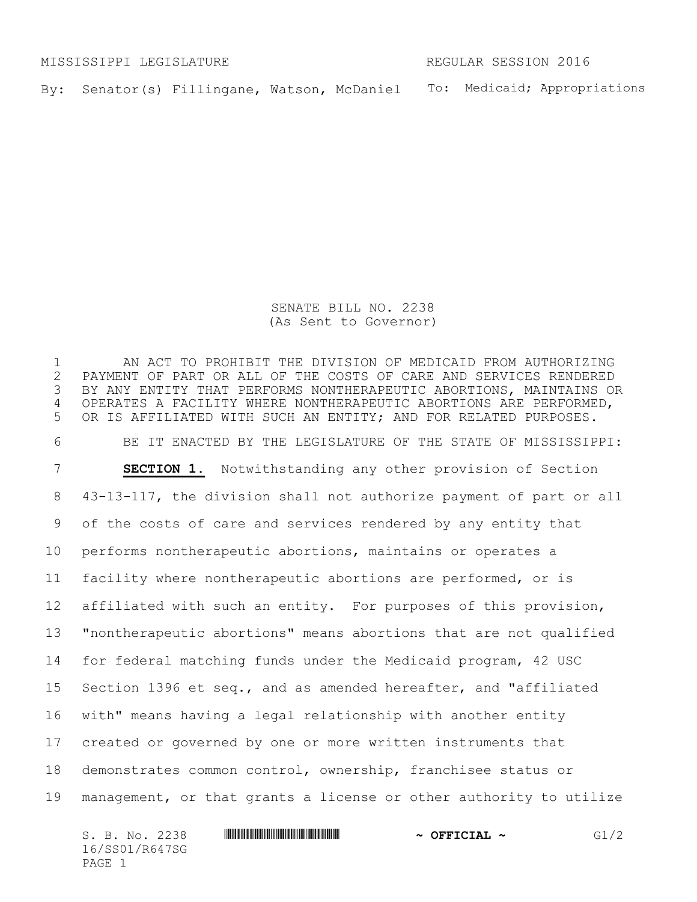MISSISSIPPI LEGISLATURE REGULAR SESSION 2016

By: Senator(s) Fillingane, Watson, McDaniel To: Medicaid; Appropriations

SENATE BILL NO. 2238 (As Sent to Governor)

 AN ACT TO PROHIBIT THE DIVISION OF MEDICAID FROM AUTHORIZING 2 PAYMENT OF PART OR ALL OF THE COSTS OF CARE AND SERVICES RENDERED<br>3 BY ANY ENTITY THAT PERFORMS NONTHERAPEUTIC ABORTIONS, MAINTAINS OI BY ANY ENTITY THAT PERFORMS NONTHERAPEUTIC ABORTIONS, MAINTAINS OR OPERATES A FACILITY WHERE NONTHERAPEUTIC ABORTIONS ARE PERFORMED, OR IS AFFILIATED WITH SUCH AN ENTITY; AND FOR RELATED PURPOSES. BE IT ENACTED BY THE LEGISLATURE OF THE STATE OF MISSISSIPPI: **SECTION 1.** Notwithstanding any other provision of Section 43-13-117, the division shall not authorize payment of part or all of the costs of care and services rendered by any entity that performs nontherapeutic abortions, maintains or operates a facility where nontherapeutic abortions are performed, or is affiliated with such an entity. For purposes of this provision, "nontherapeutic abortions" means abortions that are not qualified for federal matching funds under the Medicaid program, 42 USC Section 1396 et seq., and as amended hereafter, and "affiliated with" means having a legal relationship with another entity created or governed by one or more written instruments that demonstrates common control, ownership, franchisee status or management, or that grants a license or other authority to utilize

S. B. No. 2238 \*SS01/R647SG\* **~ OFFICIAL ~** G1/2 16/SS01/R647SG PAGE 1